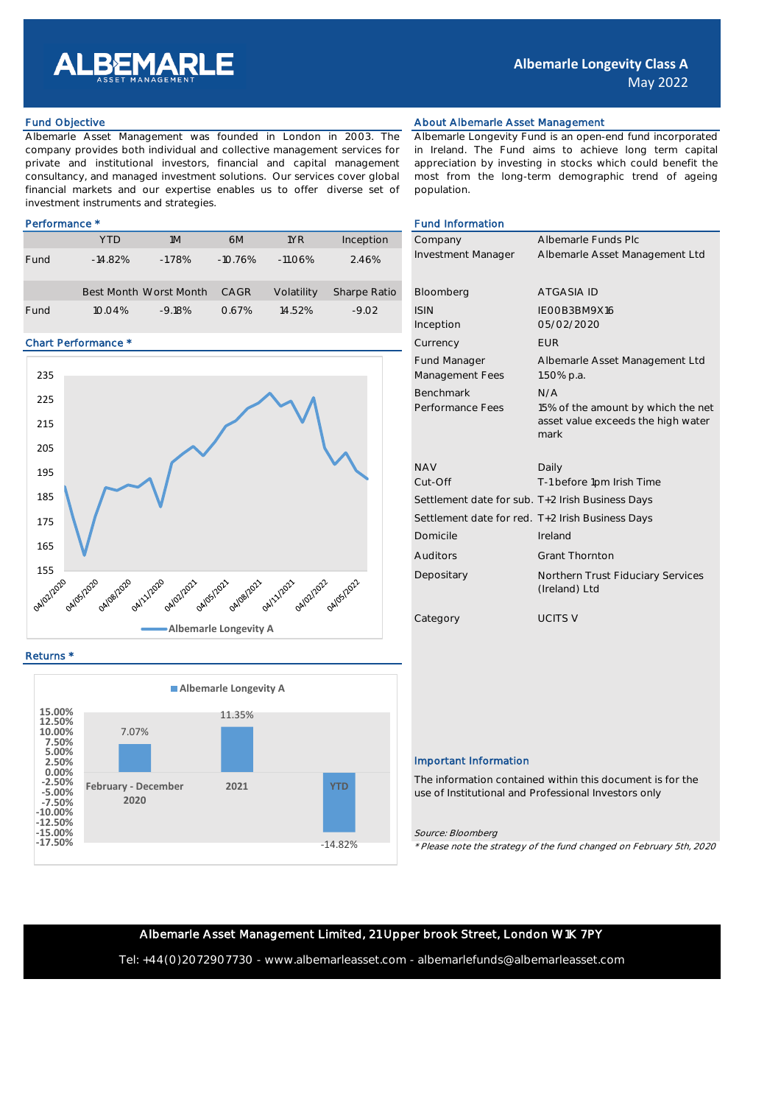

Albemarle Asset Management was founded in London in 2003. The company provides both individual and collective management services for private and institutional investors, financial and capital management consultancy, and managed investment solutions. Our services cover global financial markets and our expertise enables us to offer diverse set of investment instruments and strategies.

|      | <b>YTD</b> | 1M                     | 6M        | 1YR        | Inception    | Company            | Albemarle Fund |
|------|------------|------------------------|-----------|------------|--------------|--------------------|----------------|
| Fund | $-14.82%$  | $-1.78%$               | $-10.76%$ | $-11.06\%$ | 2.46%        | Investment Manager | Albemarle Asse |
|      |            | Best Month Worst Month | CAGR      | Volatility | Sharpe Ratio | Bloomberg          | ATGASIA ID     |
| Fund | 10.04%     | $-9.18%$               | 0.67%     | 14.52%     | $-9.02$      | <b>ISIN</b>        | IEOOB3BM9X16   |

# Chart Performance \*



Returns \*



# Fund Objective **About Albemarle Asset Management** About Albemarle Asset Management

Albemarle Longevity Fund is an open-end fund incorporated in Ireland. The Fund aims to achieve long term capital appreciation by investing in stocks which could benefit the most from the long-term demographic trend of ageing population.

# Performance \* Fund Information According to the Second Library of the Second Library of Terms and Terms and Terms and Terms and Terms and Terms and Terms and Terms and Terms and Terms and Terms and Terms and Terms and Term

| Company                                          | Albemarle Funds Plc                                |
|--------------------------------------------------|----------------------------------------------------|
| <b>Investment Manager</b>                        | Albemarle Asset Management Ltd                     |
|                                                  |                                                    |
| Bloomberg                                        | <b>ATGASIA ID</b>                                  |
| <b>ISIN</b>                                      | IFOOB3BM9X16                                       |
| Inception                                        | 05/02/2020                                         |
| Currency                                         | <b>FUR</b>                                         |
| <b>Fund Manager</b>                              | Albemarle Asset Management Ltd                     |
| Management Fees                                  | 1.50% p.a.                                         |
| <b>Benchmark</b>                                 | N/A                                                |
| Performance Fees                                 | 15% of the amount by which the net                 |
|                                                  | asset value exceeds the high water<br>mark         |
|                                                  |                                                    |
| <b>NAV</b>                                       | Daily                                              |
| Cut-Off                                          | T-1 before 1pm Irish Time                          |
| Settlement date for sub. T+2 Irish Business Days |                                                    |
| Settlement date for red. T+2 Irish Business Days |                                                    |
| Domicile                                         | Ireland                                            |
| Auditors                                         | <b>Grant Thornton</b>                              |
| Depositary                                       | Northern Trust Fiduciary Services<br>(Ireland) Ltd |
| Category                                         | <b>UCITS V</b>                                     |

## Important Information

The information contained within this document is for the use of Institutional and Professional Investors only

## Source: Bloomberg

\* Please note the strategy of the fund changed on February 5th, 2020

# Albemarle Asset Management Limited, 21 Upper brook Street, London W1K 7PY

Tel: +44(0)2072907730 - www.albemarleasset.com - albemarlefunds@albemarleasset.com